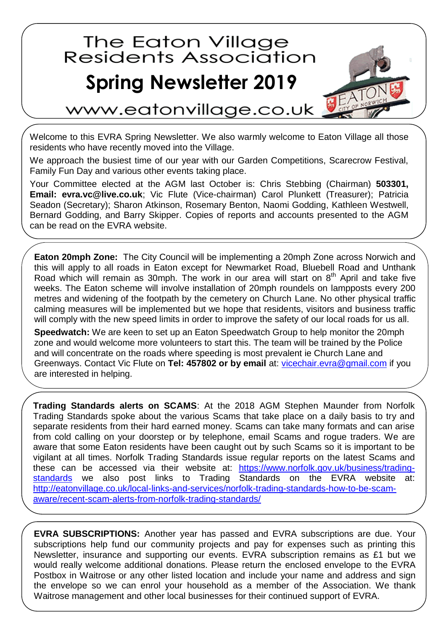## The Eaton Village<br>Residents Association **Spring Newsletter 2019**



www.eatonvillage.co.uk

Welcome to this EVRA Spring Newsletter. We also warmly welcome to Eaton Village all those residents who have recently moved into the Village.

We approach the busiest time of our year with our Garden Competitions, Scarecrow Festival, Family Fun Day and various other events taking place.

Your Committee elected at the AGM last October is: Chris Stebbing (Chairman) **503301, Email: evra.vc@live.co.uk**; Vic Flute (Vice-chairman) Carol Plunkett (Treasurer); Patricia Seadon (Secretary); Sharon Atkinson, Rosemary Benton, Naomi Godding, Kathleen Westwell, Bernard Godding, and Barry Skipper. Copies of reports and accounts presented to the AGM can be read on the EVRA website.

**Eaton 20mph Zone:** The City Council will be implementing a 20mph Zone across Norwich and this will apply to all roads in Eaton except for Newmarket Road, Bluebell Road and Unthank Road which will remain as 30mph. The work in our area will start on  $8<sup>th</sup>$  April and take five weeks. The Eaton scheme will involve installation of 20mph roundels on lampposts every 200 metres and widening of the footpath by the cemetery on Church Lane. No other physical traffic calming measures will be implemented but we hope that residents, visitors and business traffic will comply with the new speed limits in order to improve the safety of our local roads for us all.

**Speedwatch:** We are keen to set up an Eaton Speedwatch Group to help monitor the 20mph zone and would welcome more volunteers to start this. The team will be trained by the Police and will concentrate on the roads where speeding is most prevalent ie Church Lane and Greenways. Contact Vic Flute on **Tel: 457802 or by email** at: [vicechair.evra@gmail.com](../../../AppData/Roaming/Microsoft/Word/vicechair.evra@gmail.com) if you are interested in helping.

**Trading Standards alerts on SCAMS**: At the 2018 AGM Stephen Maunder from Norfolk Trading Standards spoke about the various Scams that take place on a daily basis to try and separate residents from their hard earned money. Scams can take many formats and can arise from cold calling on your doorstep or by telephone, email Scams and rogue traders. We are aware that some Eaton residents have been caught out by such Scams so it is important to be vigilant at all times. Norfolk Trading Standards issue regular reports on the latest Scams and these can be accessed via their website at: [https://www.norfolk.gov.uk/business/trading](https://www.norfolk.gov.uk/business/trading-standards)[standards](https://www.norfolk.gov.uk/business/trading-standards) we also post links to Trading Standards on the EVRA website at: [http://eatonvillage.co.uk/local-links-and-services/norfolk-trading-standards-how-to-be-scam](http://eatonvillage.co.uk/local-links-and-services/norfolk-trading-standards-how-to-be-scam-aware/recent-scam-alerts-from-norfolk-trading-standards/)[aware/recent-scam-alerts-from-norfolk-trading-standards/](http://eatonvillage.co.uk/local-links-and-services/norfolk-trading-standards-how-to-be-scam-aware/recent-scam-alerts-from-norfolk-trading-standards/)

**EVRA SUBSCRIPTIONS:** Another year has passed and EVRA subscriptions are due. Your subscriptions help fund our community projects and pay for expenses such as printing this Newsletter, insurance and supporting our events. EVRA subscription remains as £1 but we would really welcome additional donations. Please return the enclosed envelope to the EVRA Postbox in Waitrose or any other listed location and include your name and address and sign the envelope so we can enrol your household as a member of the Association. We thank Waitrose management and other local businesses for their continued support of EVRA.